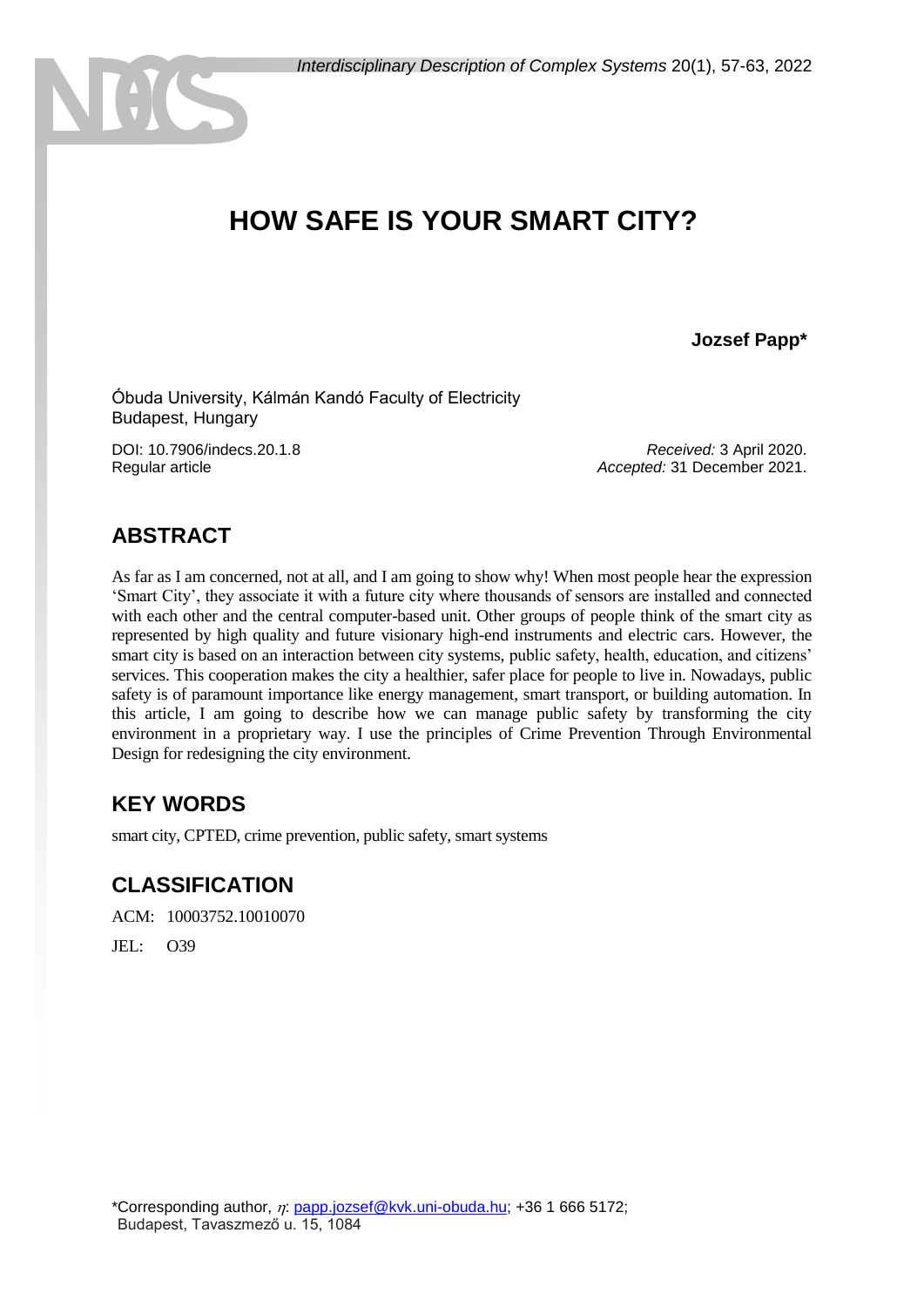# **HOW SAFE IS YOUR SMART CITY?**

#### **Jozsef Papp\***

Óbuda University, Kálmán Kandó Faculty of Electricity Budapest, Hungary

DOI: 10.7906/indecs.20.1.8 Regular article

*Received:* 3 April 2020. *Accepted:* 31 December 2021.

### **ABSTRACT**

 $\theta$ 

As far as I am concerned, not at all, and I am going to show why! When most people hear the expression 'Smart City', they associate it with a future city where thousands of sensors are installed and connected with each other and the central computer-based unit. Other groups of people think of the smart city as represented by high quality and future visionary high-end instruments and electric cars. However, the smart city is based on an interaction between city systems, public safety, health, education, and citizens' services. This cooperation makes the city a healthier, safer place for people to live in. Nowadays, public safety is of paramount importance like energy management, smart transport, or building automation. In this article, I am going to describe how we can manage public safety by transforming the city environment in a proprietary way. I use the principles of Crime Prevention Through Environmental Design for redesigning the city environment.

#### **KEY WORDS**

smart city, CPTED, crime prevention, public safety, smart systems

#### **CLASSIFICATION**

ACM: 10003752.10010070

JEL: O39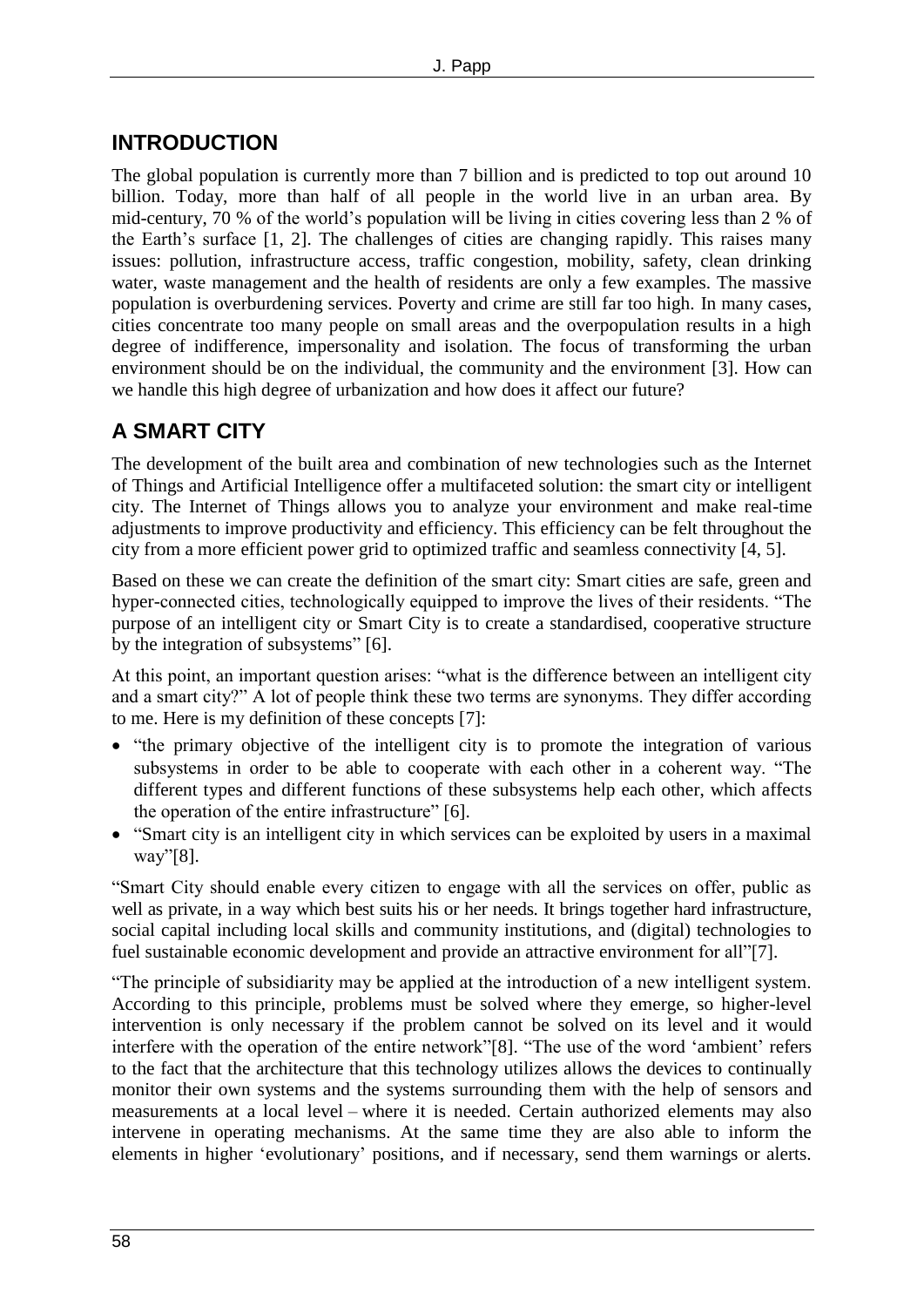### **INTRODUCTION**

The global population is currently more than 7 billion and is predicted to top out around 10 billion. Today, more than half of all people in the world live in an urban area. By mid-century, 70 % of the world's population will be living in cities covering less than 2 % of the Earth's surface [1, 2]. The challenges of cities are changing rapidly. This raises many issues: pollution, infrastructure access, traffic congestion, mobility, safety, clean drinking water, waste management and the health of residents are only a few examples. The massive population is overburdening services. Poverty and crime are still far too high. In many cases, cities concentrate too many people on small areas and the overpopulation results in a high degree of indifference, impersonality and isolation. The focus of transforming the urban environment should be on the individual, the community and the environment [3]. How can we handle this high degree of urbanization and how does it affect our future?

### **A SMART CITY**

The development of the built area and combination of new technologies such as the Internet of Things and Artificial Intelligence offer a multifaceted solution: the smart city or intelligent city. The Internet of Things allows you to analyze your environment and make real-time adjustments to improve productivity and efficiency. This efficiency can be felt throughout the city from a more efficient power grid to optimized traffic and seamless connectivity [4, 5].

Based on these we can create the definition of the smart city: Smart cities are safe, green and hyper-connected cities, technologically equipped to improve the lives of their residents. "The purpose of an intelligent city or Smart City is to create a standardised, cooperative structure by the integration of subsystems" [6].

At this point, an important question arises: "what is the difference between an intelligent city and a smart city?" A lot of people think these two terms are synonyms. They differ according to me. Here is my definition of these concepts [7]:

- "the primary objective of the intelligent city is to promote the integration of various subsystems in order to be able to cooperate with each other in a coherent way. "The different types and different functions of these subsystems help each other, which affects the operation of the entire infrastructure" [6].
- "Smart city is an intelligent city in which services can be exploited by users in a maximal way"[8].

"Smart City should enable every citizen to engage with all the services on offer, public as well as private, in a way which best suits his or her needs. It brings together hard infrastructure, social capital including local skills and community institutions, and (digital) technologies to fuel sustainable economic development and provide an attractive environment for all"[7].

"The principle of subsidiarity may be applied at the introduction of a new intelligent system. According to this principle, problems must be solved where they emerge, so higher-level intervention is only necessary if the problem cannot be solved on its level and it would interfere with the operation of the entire network"[8]. "The use of the word 'ambient' refers to the fact that the architecture that this technology utilizes allows the devices to continually monitor their own systems and the systems surrounding them with the help of sensors and measurements at a local level – where it is needed. Certain authorized elements may also intervene in operating mechanisms. At the same time they are also able to inform the elements in higher 'evolutionary' positions, and if necessary, send them warnings or alerts.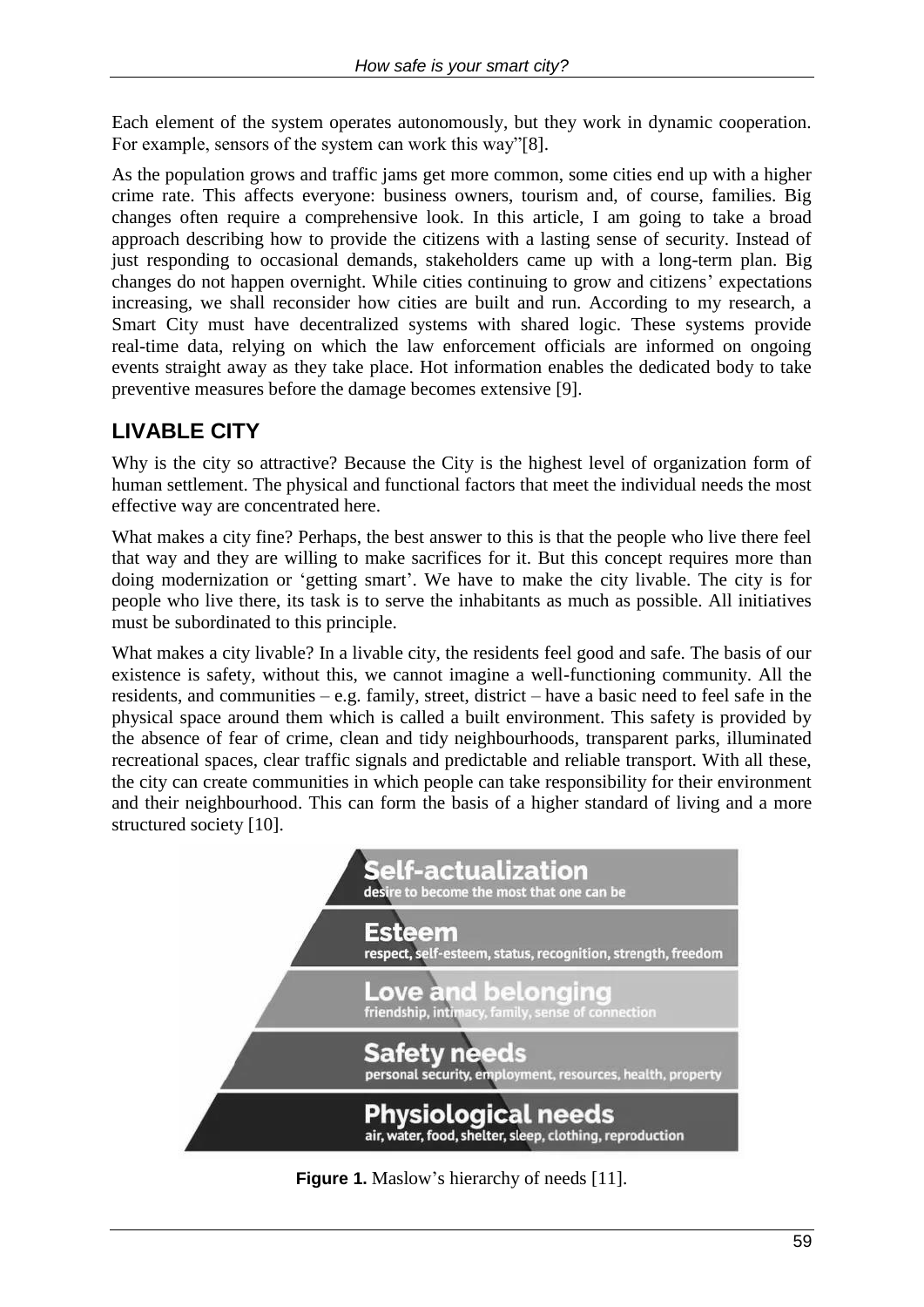Each element of the system operates autonomously, but they work in dynamic cooperation. For example, sensors of the system can work this way"[8].

As the population grows and traffic jams get more common, some cities end up with a higher crime rate. This affects everyone: business owners, tourism and, of course, families. Big changes often require a comprehensive look. In this article, I am going to take a broad approach describing how to provide the citizens with a lasting sense of security. Instead of just responding to occasional demands, stakeholders came up with a long-term plan. Big changes do not happen overnight. While cities continuing to grow and citizens' expectations increasing, we shall reconsider how cities are built and run. According to my research, a Smart City must have decentralized systems with shared logic. These systems provide real-time data, relying on which the law enforcement officials are informed on ongoing events straight away as they take place. Hot information enables the dedicated body to take preventive measures before the damage becomes extensive [9].

## **LIVABLE CITY**

Why is the city so attractive? Because the City is the highest level of organization form of human settlement. The physical and functional factors that meet the individual needs the most effective way are concentrated here.

What makes a city fine? Perhaps, the best answer to this is that the people who live there feel that way and they are willing to make sacrifices for it. But this concept requires more than doing modernization or 'getting smart'. We have to make the city livable. The city is for people who live there, its task is to serve the inhabitants as much as possible. All initiatives must be subordinated to this principle.

What makes a city livable? In a livable city, the residents feel good and safe. The basis of our existence is safety, without this, we cannot imagine a well-functioning community. All the residents, and communities – e.g. family, street, district – have a basic need to feel safe in the physical space around them which is called a built environment. This safety is provided by the absence of fear of crime, clean and tidy neighbourhoods, transparent parks, illuminated recreational spaces, clear traffic signals and predictable and reliable transport. With all these, the city can create communities in which people can take responsibility for their environment and their neighbourhood. This can form the basis of a higher standard of living and a more structured society [10].



**Figure 1.** Maslow's hierarchy of needs [11].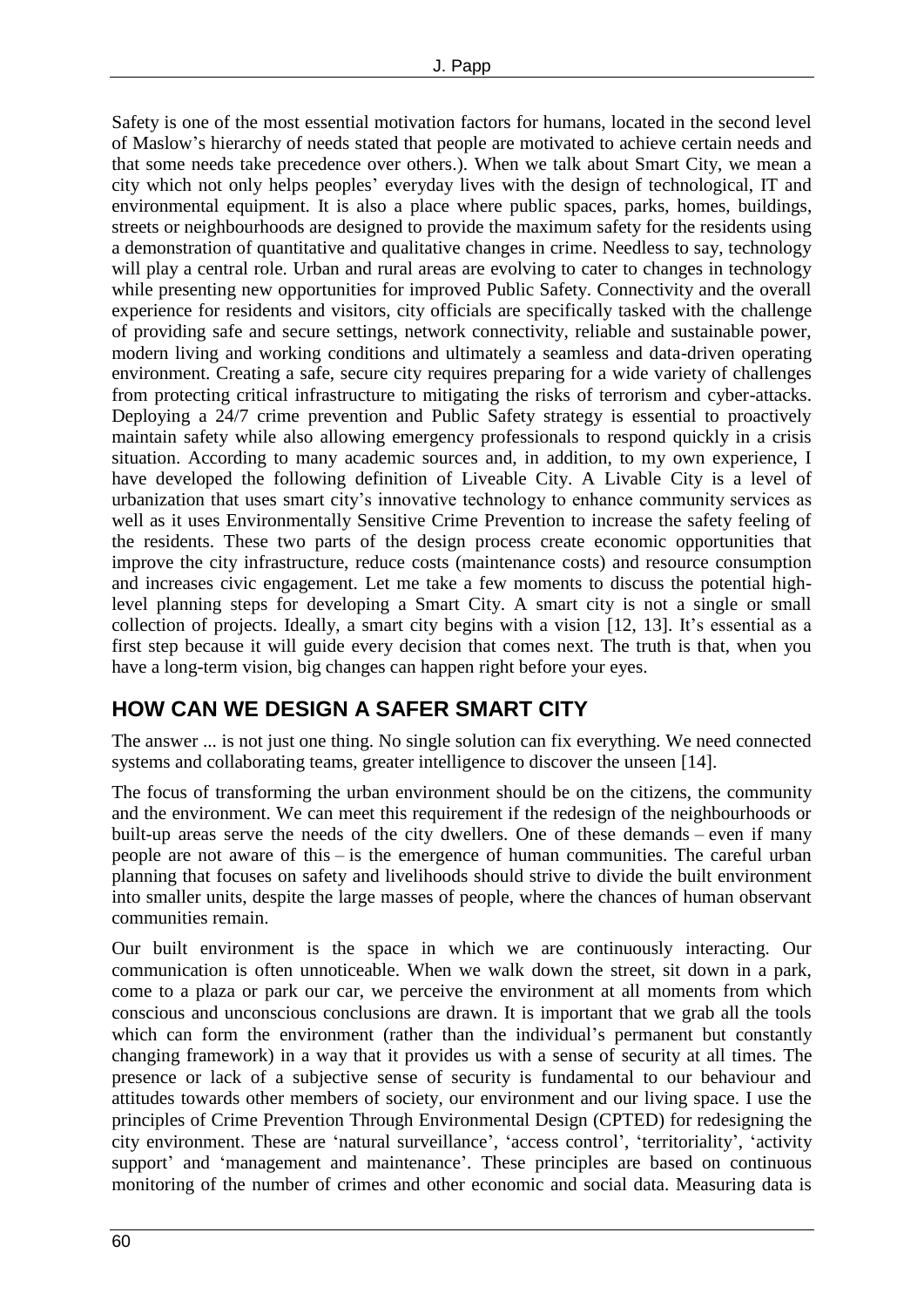Safety is one of the most essential motivation factors for humans, located in the second level of Maslow's hierarchy of needs stated that people are motivated to achieve certain needs and that some needs take precedence over others.). When we talk about Smart City, we mean a city which not only helps peoples' everyday lives with the design of technological, IT and environmental equipment. It is also a place where public spaces, parks, homes, buildings, streets or neighbourhoods are designed to provide the maximum safety for the residents using a demonstration of quantitative and qualitative changes in crime. Needless to say, technology will play a central role. Urban and rural areas are evolving to cater to changes in technology while presenting new opportunities for improved Public Safety. Connectivity and the overall experience for residents and visitors, city officials are specifically tasked with the challenge of providing safe and secure settings, network connectivity, reliable and sustainable power, modern living and working conditions and ultimately a seamless and data-driven operating environment. Creating a safe, secure city requires preparing for a wide variety of challenges from protecting critical infrastructure to mitigating the risks of terrorism and cyber-attacks. Deploying a 24/7 crime prevention and Public Safety strategy is essential to proactively maintain safety while also allowing emergency professionals to respond quickly in a crisis situation. According to many academic sources and, in addition, to my own experience, I have developed the following definition of Liveable City. A Livable City is a level of urbanization that uses smart city's innovative technology to enhance community services as well as it uses Environmentally Sensitive Crime Prevention to increase the safety feeling of the residents. These two parts of the design process create economic opportunities that improve the city infrastructure, reduce costs (maintenance costs) and resource consumption and increases civic engagement. Let me take a few moments to discuss the potential highlevel planning steps for developing a Smart City. A smart city is not a single or small collection of projects. Ideally, a smart city begins with a vision [12, 13]. It's essential as a first step because it will guide every decision that comes next. The truth is that, when you have a long-term vision, big changes can happen right before your eyes.

### **HOW CAN WE DESIGN A SAFER SMART CITY**

The answer ... is not just one thing. No single solution can fix everything. We need connected systems and collaborating teams, greater intelligence to discover the unseen [14].

The focus of transforming the urban environment should be on the citizens, the community and the environment. We can meet this requirement if the redesign of the neighbourhoods or built-up areas serve the needs of the city dwellers. One of these demands – even if many people are not aware of this – is the emergence of human communities. The careful urban planning that focuses on safety and livelihoods should strive to divide the built environment into smaller units, despite the large masses of people, where the chances of human observant communities remain.

Our built environment is the space in which we are continuously interacting. Our communication is often unnoticeable. When we walk down the street, sit down in a park, come to a plaza or park our car, we perceive the environment at all moments from which conscious and unconscious conclusions are drawn. It is important that we grab all the tools which can form the environment (rather than the individual's permanent but constantly changing framework) in a way that it provides us with a sense of security at all times. The presence or lack of a subjective sense of security is fundamental to our behaviour and attitudes towards other members of society, our environment and our living space. I use the principles of Crime Prevention Through Environmental Design (CPTED) for redesigning the city environment. These are 'natural surveillance', 'access control', 'territoriality', 'activity support' and 'management and maintenance'. These principles are based on continuous monitoring of the number of crimes and other economic and social data. Measuring data is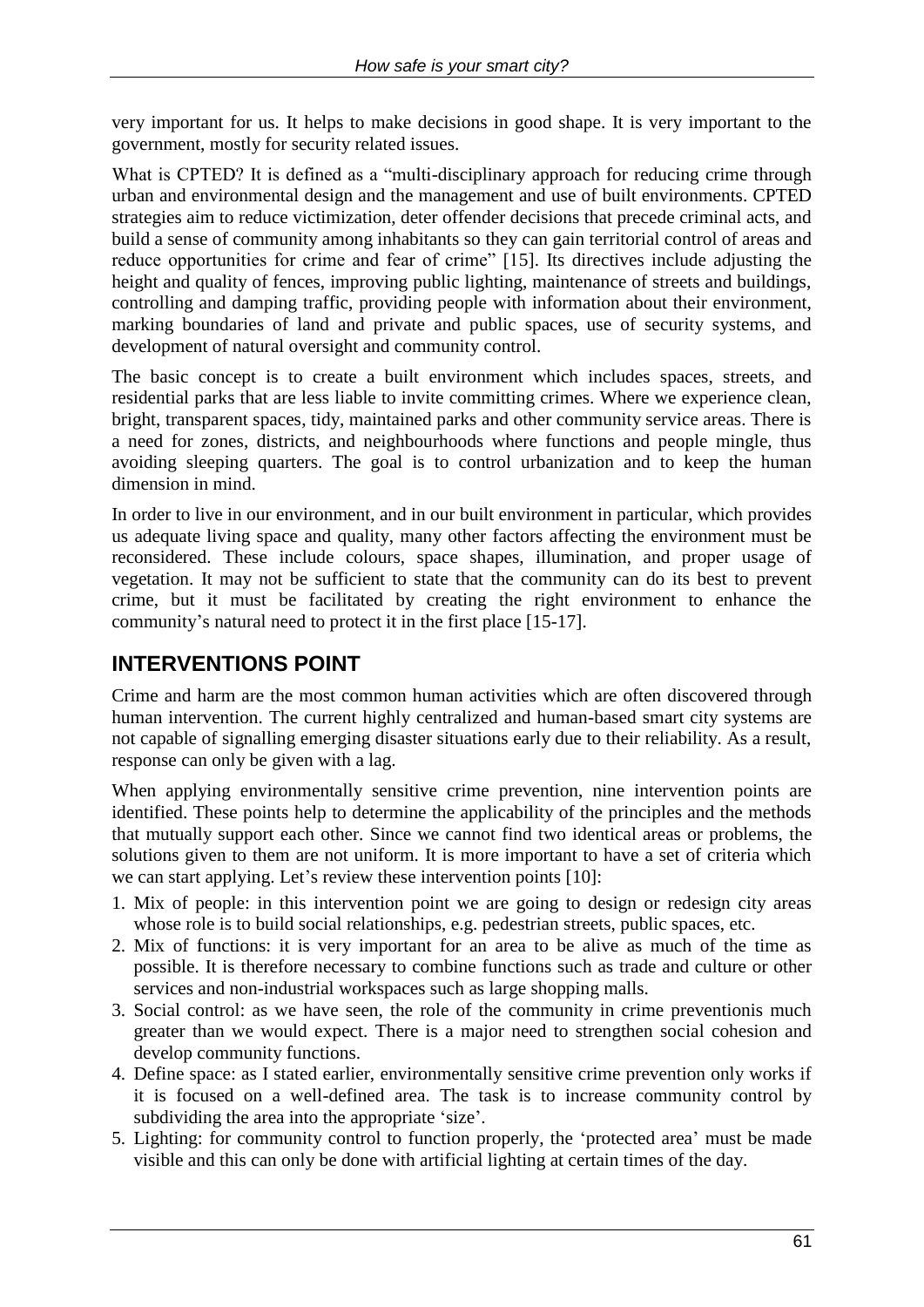very important for us. It helps to make decisions in good shape. It is very important to the government, mostly for security related issues.

What is CPTED? It is defined as a "multi-disciplinary approach for reducing crime through urban and environmental design and the management and use of built environments. CPTED strategies aim to reduce victimization, deter offender decisions that precede criminal acts, and build a sense of community among inhabitants so they can gain territorial control of areas and reduce opportunities for crime and fear of crime" [15]. Its directives include adjusting the height and quality of fences, improving public lighting, maintenance of streets and buildings, controlling and damping traffic, providing people with information about their environment, marking boundaries of land and private and public spaces, use of security systems, and development of natural oversight and community control.

The basic concept is to create a built environment which includes spaces, streets, and residential parks that are less liable to invite committing crimes. Where we experience clean, bright, transparent spaces, tidy, maintained parks and other community service areas. There is a need for zones, districts, and neighbourhoods where functions and people mingle, thus avoiding sleeping quarters. The goal is to control urbanization and to keep the human dimension in mind.

In order to live in our environment, and in our built environment in particular, which provides us adequate living space and quality, many other factors affecting the environment must be reconsidered. These include colours, space shapes, illumination, and proper usage of vegetation. It may not be sufficient to state that the community can do its best to prevent crime, but it must be facilitated by creating the right environment to enhance the community's natural need to protect it in the first place [15-17].

### **INTERVENTIONS POINT**

Crime and harm are the most common human activities which are often discovered through human intervention. The current highly centralized and human-based smart city systems are not capable of signalling emerging disaster situations early due to their reliability. As a result, response can only be given with a lag.

When applying environmentally sensitive crime prevention, nine intervention points are identified. These points help to determine the applicability of the principles and the methods that mutually support each other. Since we cannot find two identical areas or problems, the solutions given to them are not uniform. It is more important to have a set of criteria which we can start applying. Let's review these intervention points [10]:

- 1. Mix of people: in this intervention point we are going to design or redesign city areas whose role is to build social relationships, e.g. pedestrian streets, public spaces, etc.
- 2. Mix of functions: it is very important for an area to be alive as much of the time as possible. It is therefore necessary to combine functions such as trade and culture or other services and non-industrial workspaces such as large shopping malls.
- 3. Social control: as we have seen, the role of the community in crime preventionis much greater than we would expect. There is a major need to strengthen social cohesion and develop community functions.
- 4. Define space: as I stated earlier, environmentally sensitive crime prevention only works if it is focused on a well-defined area. The task is to increase community control by subdividing the area into the appropriate 'size'.
- 5. Lighting: for community control to function properly, the 'protected area' must be made visible and this can only be done with artificial lighting at certain times of the day.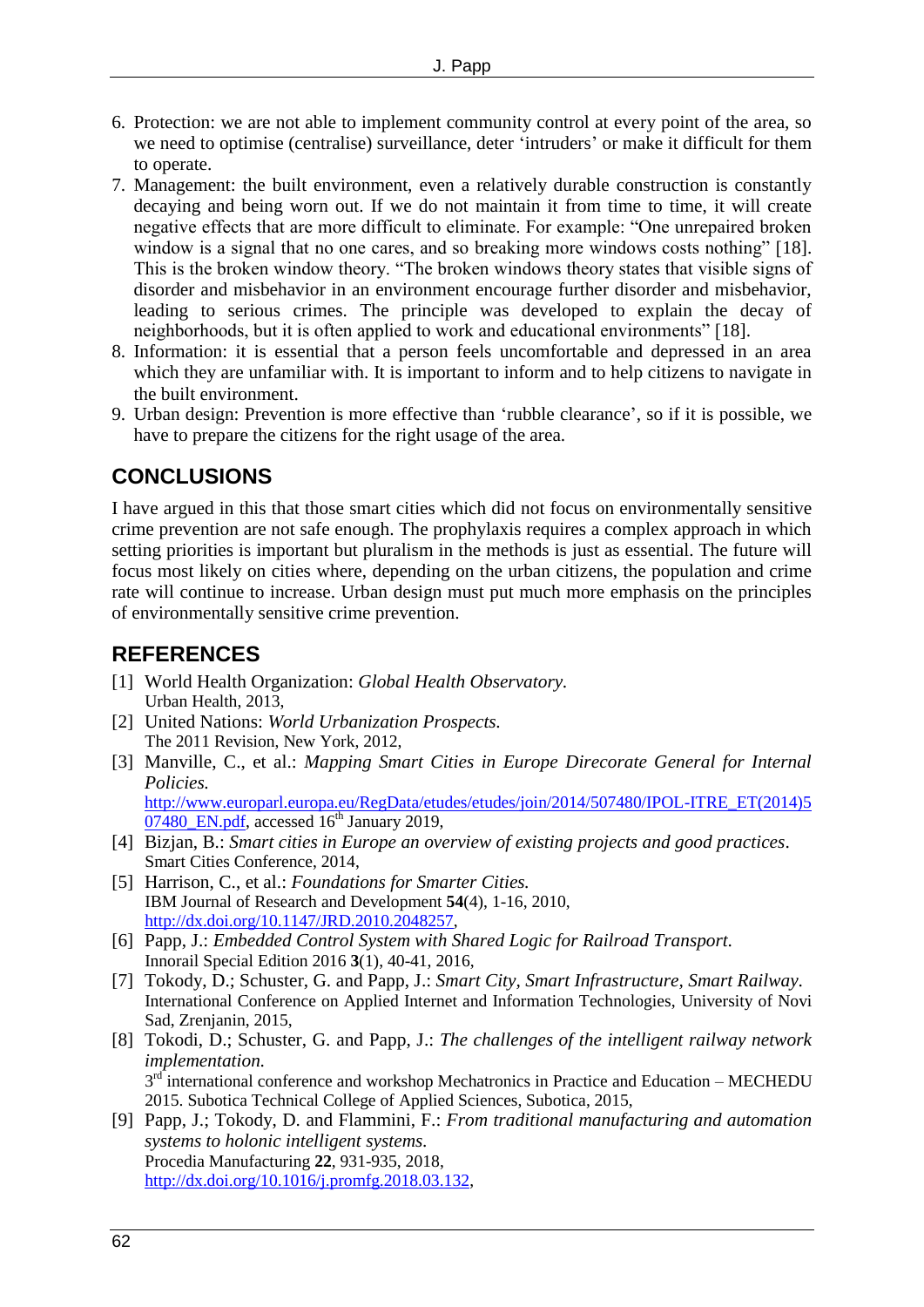- 6. Protection: we are not able to implement community control at every point of the area, so we need to optimise (centralise) surveillance, deter 'intruders' or make it difficult for them to operate.
- 7. Management: the built environment, even a relatively durable construction is constantly decaying and being worn out. If we do not maintain it from time to time, it will create negative effects that are more difficult to eliminate. For example: "One unrepaired broken window is a signal that no one cares, and so breaking more windows costs nothing" [18]. This is the broken window theory. "The broken windows theory states that visible signs of disorder and misbehavior in an environment encourage further disorder and misbehavior, leading to serious crimes. The principle was developed to explain the decay of neighborhoods, but it is often applied to work and educational environments" [18].
- 8. Information: it is essential that a person feels uncomfortable and depressed in an area which they are unfamiliar with. It is important to inform and to help citizens to navigate in the built environment.
- 9. Urban design: Prevention is more effective than 'rubble clearance', so if it is possible, we have to prepare the citizens for the right usage of the area.

### **CONCLUSIONS**

I have argued in this that those smart cities which did not focus on environmentally sensitive crime prevention are not safe enough. The prophylaxis requires a complex approach in which setting priorities is important but pluralism in the methods is just as essential. The future will focus most likely on cities where, depending on the urban citizens, the population and crime rate will continue to increase. Urban design must put much more emphasis on the principles of environmentally sensitive crime prevention.

### **REFERENCES**

- [1] World Health Organization: *Global Health Observatory.* Urban Health, 2013,
- [2] United Nations: *World Urbanization Prospects.* The 2011 Revision, New York, 2012,
- [3] Manville, C., et al.: *Mapping Smart Cities in Europe Direcorate General for Internal Policies.* [http://www.europarl.europa.eu/RegData/etudes/etudes/join/2014/507480/IPOL-ITRE\\_ET\(2014\)5](http://www.europarl.europa.eu/RegData/etudes/etudes/join/2014/507480/IPOL-ITRE_ET(2014)507480_EN.pdf)

 $07480$  EN.pdf, accessed  $16<sup>th</sup>$  January 2019,

- [4] Bizjan, B.: *Smart cities in Europe an overview of existing projects and good practices*. Smart Cities Conference, 2014,
- [5] Harrison, C., et al.: *Foundations for Smarter Cities.* IBM Journal of Research and Development **54**(4), 1-16, 2010, [http://dx.doi.org/10.1147/JRD.2010.2048257,](http://dx.doi.org/10.1147/JRD.2010.2048257)
- [6] Papp, J.: *Embedded Control System with Shared Logic for Railroad Transport.* Innorail Special Edition 2016 **3**(1), 40-41, 2016,
- [7] Tokody, D.; Schuster, G. and Papp, J.: *Smart City, Smart Infrastructure, Smart Railway.* International Conference on Applied Internet and Information Technologies, University of Novi Sad, Zrenjanin, 2015,
- [8] Tokodi, D.; Schuster, G. and Papp, J.: *The challenges of the intelligent railway network implementation.*  $3<sup>rd</sup>$  international conference and workshop Mechatronics in Practice and Education – MECHEDU 2015. Subotica Technical College of Applied Sciences, Subotica, 2015,
- [9] Papp, J.; Tokody, D. and Flammini, F.: *From traditional manufacturing and automation systems to holonic intelligent systems.* Procedia Manufacturing **22**, 931-935, 2018, [http://dx.doi.org/10.1016/j.promfg.2018.03.132,](http://dx.doi.org/10.1016/j.promfg.2018.03.132)